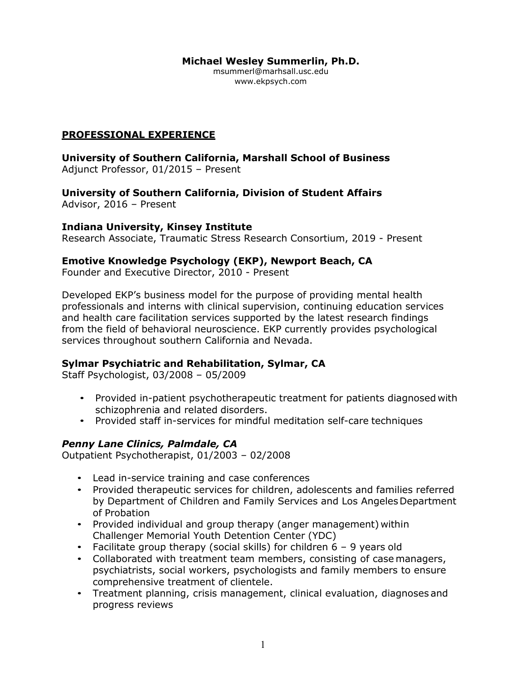**Michael Wesley Summerlin, Ph.D.**

[msummerl@marhsall.usc.edu](mailto:msummerl@marhsall.usc.edu) [www.ekpsych.com](http://www.ekpsych.com/)

# **PROFESSIONAL EXPERIENCE**

**University of Southern California, Marshall School of Business** Adjunct Professor, 01/2015 – Present

**University of Southern California, Division of Student Affairs** Advisor, 2016 – Present

#### **Indiana University, Kinsey Institute**

Research Associate, Traumatic Stress Research Consortium, 2019 - Present

### **Emotive Knowledge Psychology (EKP), Newport Beach, CA**

Founder and Executive Director, 2010 - Present

Developed EKP's business model for the purpose of providing mental health professionals and interns with clinical supervision, continuing education services and health care facilitation services supported by the latest research findings from the field of behavioral neuroscience. EKP currently provides psychological services throughout southern California and Nevada.

### **Sylmar Psychiatric and Rehabilitation, Sylmar, CA**

Staff Psychologist, 03/2008 – 05/2009

- Provided in-patient psychotherapeutic treatment for patients diagnosed with schizophrenia and related disorders.
- Provided staff in-services for mindful meditation self-care techniques

### *Penny Lane Clinics, Palmdale, CA*

Outpatient Psychotherapist, 01/2003 – 02/2008

- Lead in-service training and case conferences
- Provided therapeutic services for children, adolescents and families referred by Department of Children and Family Services and Los Angeles Department of Probation
- Provided individual and group therapy (anger management) within Challenger Memorial Youth Detention Center (YDC)
- Facilitate group therapy (social skills) for children 6 9 years old
- Collaborated with treatment team members, consisting of case managers, psychiatrists, social workers, psychologists and family members to ensure comprehensive treatment of clientele.
- Treatment planning, crisis management, clinical evaluation, diagnoses and progress reviews